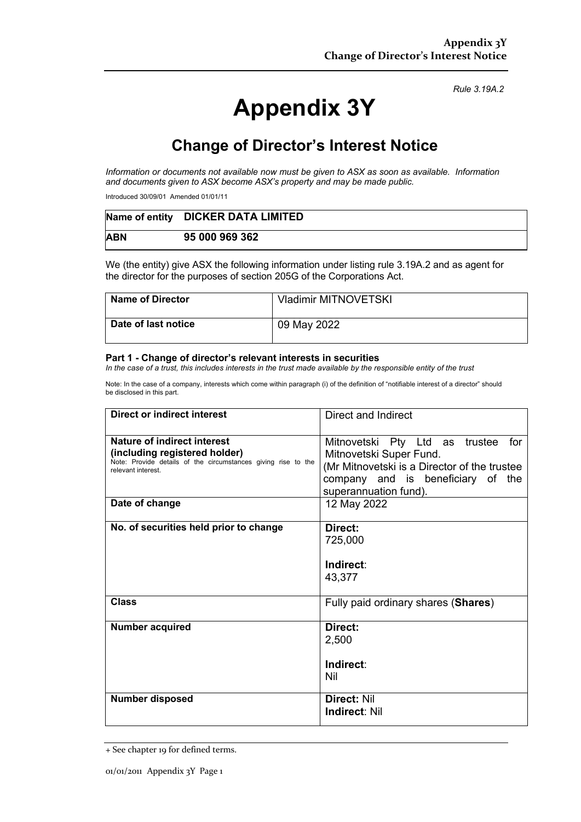# **Appendix 3Y**

*Rule 3.19A.2*

## **Change of Director's Interest Notice**

*Information or documents not available now must be given to ASX as soon as available. Information and documents given to ASX become ASX's property and may be made public.*

Introduced 30/09/01 Amended 01/01/11

|            | Name of entity DICKER DATA LIMITED |
|------------|------------------------------------|
| <b>ABN</b> | 95 000 969 362                     |

We (the entity) give ASX the following information under listing rule 3.19A.2 and as agent for the director for the purposes of section 205G of the Corporations Act.

| Name of Director           | <b>Vladimir MITNOVETSKI</b> |
|----------------------------|-----------------------------|
| <b>Date of last notice</b> | 09 May 2022                 |

#### **Part 1 - Change of director's relevant interests in securities**

*In the case of a trust, this includes interests in the trust made available by the responsible entity of the trust*

Note: In the case of a company, interests which come within paragraph (i) of the definition of "notifiable interest of a director" should be disclosed in this part.

| <b>Direct or indirect interest</b>                                                                                                                  | Direct and Indirect                                                                                                                                                            |
|-----------------------------------------------------------------------------------------------------------------------------------------------------|--------------------------------------------------------------------------------------------------------------------------------------------------------------------------------|
| Nature of indirect interest<br>(including registered holder)<br>Note: Provide details of the circumstances giving rise to the<br>relevant interest. | Mitnovetski Pty Ltd as trustee<br>for<br>Mitnovetski Super Fund.<br>(Mr Mitnovetski is a Director of the trustee<br>company and is beneficiary of the<br>superannuation fund). |
| Date of change                                                                                                                                      | 12 May 2022                                                                                                                                                                    |
| No. of securities held prior to change                                                                                                              | Direct:<br>725,000<br>Indirect:<br>43,377                                                                                                                                      |
| <b>Class</b>                                                                                                                                        | Fully paid ordinary shares (Shares)                                                                                                                                            |
| <b>Number acquired</b>                                                                                                                              | Direct:<br>2,500<br>Indirect:<br>Nil                                                                                                                                           |
| <b>Number disposed</b>                                                                                                                              | Direct: Nil<br><b>Indirect: Nil</b>                                                                                                                                            |

<sup>+</sup> See chapter 19 for defined terms.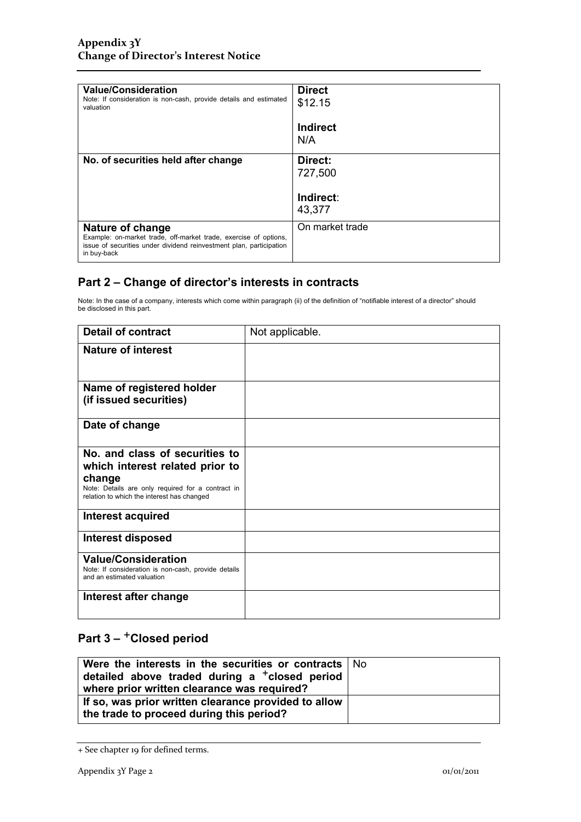| <b>Value/Consideration</b><br>Note: If consideration is non-cash, provide details and estimated<br>valuation                                                                      | <b>Direct</b><br>\$12.15 |
|-----------------------------------------------------------------------------------------------------------------------------------------------------------------------------------|--------------------------|
|                                                                                                                                                                                   | Indirect<br>N/A          |
| No. of securities held after change                                                                                                                                               | Direct:<br>727,500       |
|                                                                                                                                                                                   | Indirect:<br>43,377      |
| <b>Nature of change</b><br>Example: on-market trade, off-market trade, exercise of options,<br>issue of securities under dividend reinvestment plan, participation<br>in buy-back | On market trade          |

#### **Part 2 – Change of director's interests in contracts**

Note: In the case of a company, interests which come within paragraph (ii) of the definition of "notifiable interest of a director" should be disclosed in this part.

| <b>Detail of contract</b>                                                                                       | Not applicable. |
|-----------------------------------------------------------------------------------------------------------------|-----------------|
| <b>Nature of interest</b>                                                                                       |                 |
| Name of registered holder                                                                                       |                 |
| (if issued securities)                                                                                          |                 |
| Date of change                                                                                                  |                 |
| No. and class of securities to                                                                                  |                 |
| which interest related prior to                                                                                 |                 |
| change<br>Note: Details are only required for a contract in<br>relation to which the interest has changed       |                 |
| Interest acquired                                                                                               |                 |
| Interest disposed                                                                                               |                 |
| <b>Value/Consideration</b><br>Note: If consideration is non-cash, provide details<br>and an estimated valuation |                 |
| Interest after change                                                                                           |                 |

### **Part 3 –** +**Closed period**

| Were the interests in the securities or contracts   No<br>detailed above traded during a $+$ closed period<br>where prior written clearance was required? |  |
|-----------------------------------------------------------------------------------------------------------------------------------------------------------|--|
| If so, was prior written clearance provided to allow<br>the trade to proceed during this period?                                                          |  |

<sup>+</sup> See chapter 19 for defined terms.